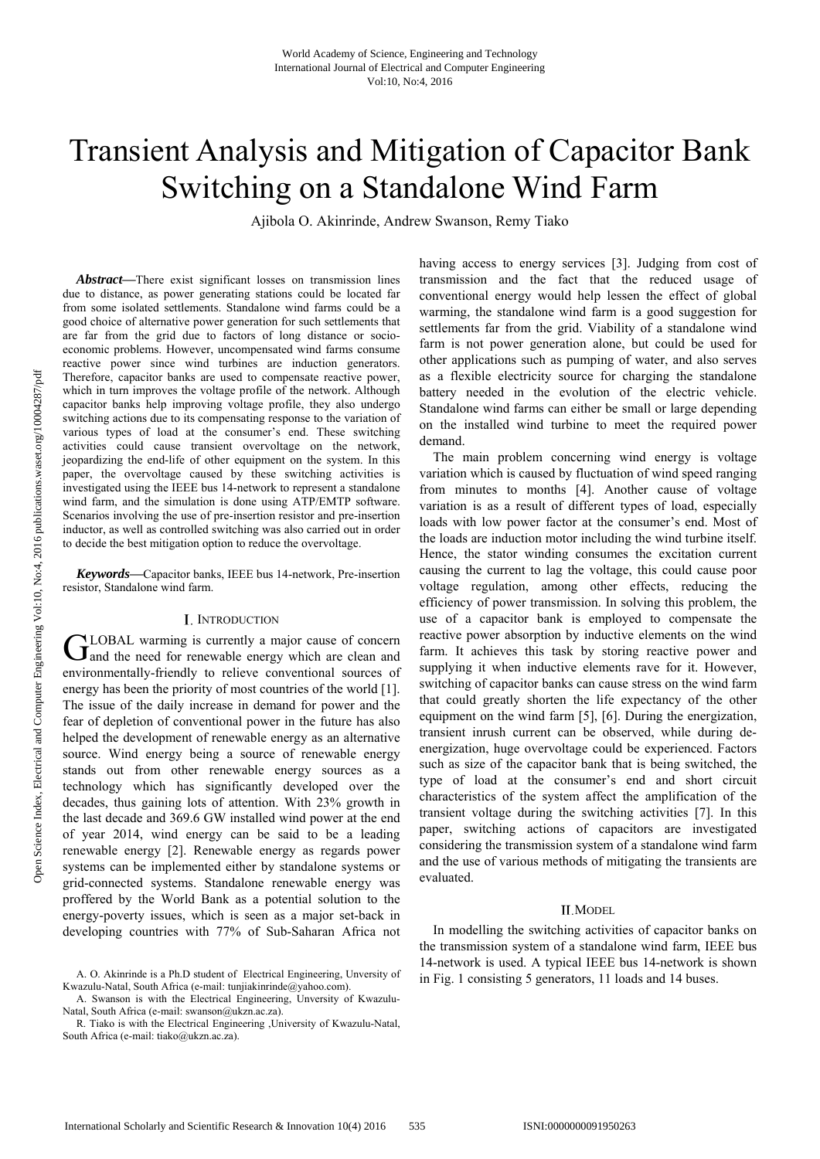# Transient Analysis and Mitigation of Capacitor Bank Switching on a Standalone Wind Farm

Ajibola O. Akinrinde, Andrew Swanson, Remy Tiako

*Abstract***—**There exist significant losses on transmission lines due to distance, as power generating stations could be located far from some isolated settlements. Standalone wind farms could be a good choice of alternative power generation for such settlements that are far from the grid due to factors of long distance or socioeconomic problems. However, uncompensated wind farms consume reactive power since wind turbines are induction generators. Therefore, capacitor banks are used to compensate reactive power, which in turn improves the voltage profile of the network. Although capacitor banks help improving voltage profile, they also undergo switching actions due to its compensating response to the variation of various types of load at the consumer's end. These switching activities could cause transient overvoltage on the network, jeopardizing the end-life of other equipment on the system. In this paper, the overvoltage caused by these switching activities is investigated using the IEEE bus 14-network to represent a standalone wind farm, and the simulation is done using ATP/EMTP software. Scenarios involving the use of pre-insertion resistor and pre-insertion inductor, as well as controlled switching was also carried out in order to decide the best mitigation option to reduce the overvoltage.

*Keywords***—**Capacitor banks, IEEE bus 14-network, Pre-insertion resistor, Standalone wind farm.

#### I. INTRODUCTION

LOBAL warming is currently a major cause of concern GLOBAL warming is currently a major cause of concern<br>
and the need for renewable energy which are clean and environmentally-friendly to relieve conventional sources of energy has been the priority of most countries of the world [1]. The issue of the daily increase in demand for power and the fear of depletion of conventional power in the future has also helped the development of renewable energy as an alternative source. Wind energy being a source of renewable energy stands out from other renewable energy sources as a technology which has significantly developed over the decades, thus gaining lots of attention. With 23% growth in the last decade and 369.6 GW installed wind power at the end of year 2014, wind energy can be said to be a leading renewable energy [2]. Renewable energy as regards power systems can be implemented either by standalone systems or grid-connected systems. Standalone renewable energy was proffered by the World Bank as a potential solution to the energy-poverty issues, which is seen as a major set-back in developing countries with 77% of Sub-Saharan Africa not

having access to energy services [3]. Judging from cost of transmission and the fact that the reduced usage of conventional energy would help lessen the effect of global warming, the standalone wind farm is a good suggestion for settlements far from the grid. Viability of a standalone wind farm is not power generation alone, but could be used for other applications such as pumping of water, and also serves as a flexible electricity source for charging the standalone battery needed in the evolution of the electric vehicle. Standalone wind farms can either be small or large depending on the installed wind turbine to meet the required power demand.

The main problem concerning wind energy is voltage variation which is caused by fluctuation of wind speed ranging from minutes to months [4]. Another cause of voltage variation is as a result of different types of load, especially loads with low power factor at the consumer's end. Most of the loads are induction motor including the wind turbine itself. Hence, the stator winding consumes the excitation current causing the current to lag the voltage, this could cause poor voltage regulation, among other effects, reducing the efficiency of power transmission. In solving this problem, the use of a capacitor bank is employed to compensate the reactive power absorption by inductive elements on the wind farm. It achieves this task by storing reactive power and supplying it when inductive elements rave for it. However, switching of capacitor banks can cause stress on the wind farm that could greatly shorten the life expectancy of the other equipment on the wind farm [5], [6]. During the energization, transient inrush current can be observed, while during deenergization, huge overvoltage could be experienced. Factors such as size of the capacitor bank that is being switched, the type of load at the consumer's end and short circuit characteristics of the system affect the amplification of the transient voltage during the switching activities [7]. In this paper, switching actions of capacitors are investigated considering the transmission system of a standalone wind farm and the use of various methods of mitigating the transients are evaluated.

#### II.MODEL

In modelling the switching activities of capacitor banks on the transmission system of a standalone wind farm, IEEE bus 14-network is used. A typical IEEE bus 14-network is shown in Fig. 1 consisting 5 generators, 11 loads and 14 buses.

A. O. Akinrinde is a Ph.D student of Electrical Engineering, Unversity of Kwazulu-Natal, South Africa (e-mail: tunjiakinrinde@yahoo.com).

A. Swanson is with the Electrical Engineering, Unversity of Kwazulu-Natal, South Africa (e-mail: swanson@ukzn.ac.za).

R. Tiako is with the Electrical Engineering ,University of Kwazulu-Natal, South Africa (e-mail: tiako@ukzn.ac.za).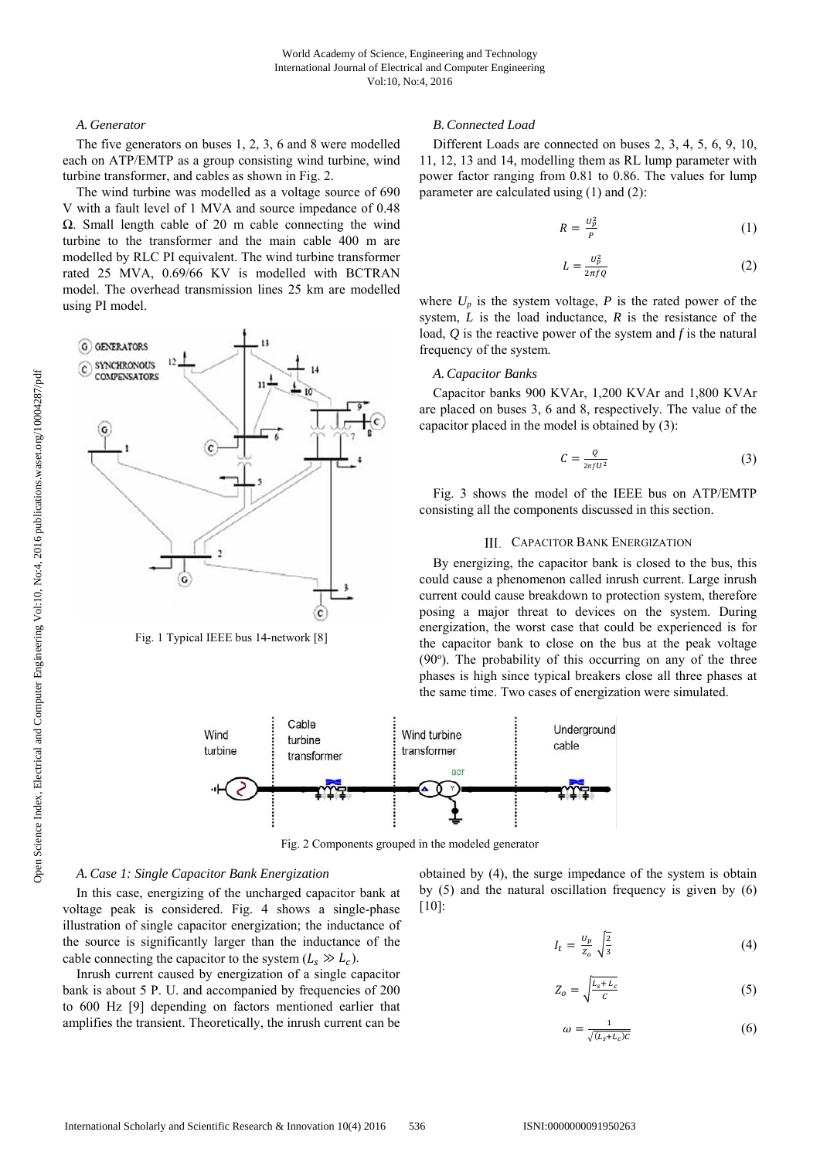#### *A. Generator*

The five generators on buses 1, 2, 3, 6 and 8 were modelled each on ATP/EMTP as a group consisting wind turbine, wind turbine transformer, and cables as shown in Fig. 2.

The wind turbine was modelled as a voltage source of 690 V with a fault level of 1 MVA and source impedance of 0.48 Ω. Small length cable of 20 m cable connecting the wind turbine to the transformer and the main cable 400 m are modelled by RLC PI equivalent. The wind turbine transformer rated 25 MVA, 0.69/66 KV is modelled with BCTRAN model. The overhead transmission lines 25 km are modelled using PI model.



Fig. 1 Typical IEEE bus 14-network [8]

## *B.Connected Load*

Different Loads are connected on buses 2, 3, 4, 5, 6, 9, 10, 11, 12, 13 and 14, modelling them as RL lump parameter with power factor ranging from 0.81 to 0.86. The values for lump parameter are calculated using (1) and (2):

$$
R = \frac{U_p^2}{P} \tag{1}
$$

$$
L = \frac{v_p^2}{2\pi f Q} \tag{2}
$$

where  $U_p$  is the system voltage,  $P$  is the rated power of the system, *L* is the load inductance, *R* is the resistance of the load, *Q* is the reactive power of the system and *f* is the natural frequency of the system.

## *A.Capacitor Banks*

Capacitor banks 900 KVAr, 1,200 KVAr and 1,800 KVAr are placed on buses 3, 6 and 8, respectively. The value of the capacitor placed in the model is obtained by (3):

$$
C = \frac{Q}{2\pi f U^2} \tag{3}
$$

Fig. 3 shows the model of the IEEE bus on ATP/EMTP consisting all the components discussed in this section.

## III. CAPACITOR BANK ENERGIZATION

By energizing, the capacitor bank is closed to the bus, this could cause a phenomenon called inrush current. Large inrush current could cause breakdown to protection system, therefore posing a major threat to devices on the system. During energization, the worst case that could be experienced is for the capacitor bank to close on the bus at the peak voltage (90°). The probability of this occurring on any of the three phases is high since typical breakers close all three phases at the same time. Two cases of energization were simulated.



Fig. 2 Components grouped in the modeled generator

## *A.Case 1: Single Capacitor Bank Energization*

In this case, energizing of the uncharged capacitor bank at voltage peak is considered. Fig. 4 shows a single-phase illustration of single capacitor energization; the inductance of the source is significantly larger than the inductance of the cable connecting the capacitor to the system  $(L_s \gg L_c)$ .

Inrush current caused by energization of a single capacitor bank is about 5 P. U. and accompanied by frequencies of 200 to 600 Hz [9] depending on factors mentioned earlier that amplifies the transient. Theoretically, the inrush current can be obtained by (4), the surge impedance of the system is obtain by (5) and the natural oscillation frequency is given by (6) [10]:

$$
I_t = \frac{U_p}{Z_o} \sqrt{\frac{2}{3}} \tag{4}
$$

$$
Z_o = \sqrt{\frac{L_s + L_c}{c}}\tag{5}
$$

$$
\omega = \frac{1}{\sqrt{(L_s + L_c)C}}\tag{6}
$$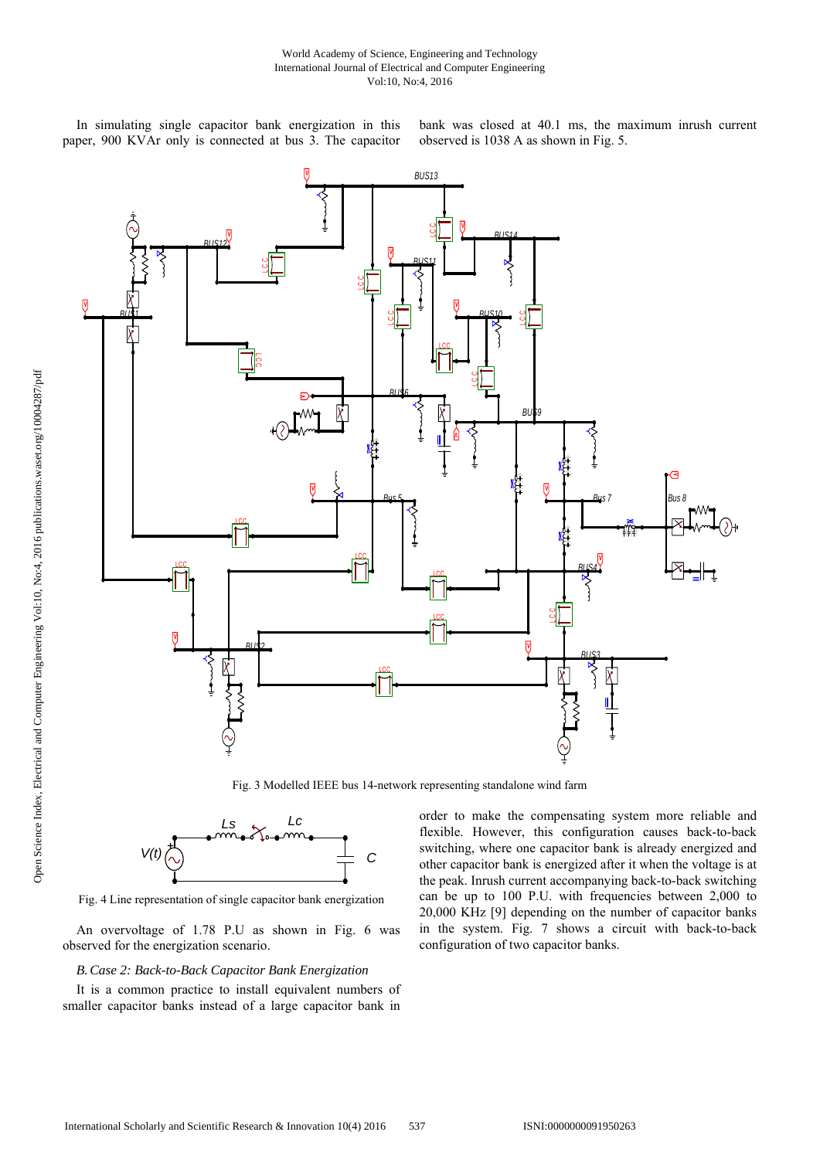In simulating single capacitor bank energization in this paper, 900 KVAr only is connected at bus 3. The capacitor bank was closed at 40.1 ms, the maximum inrush current observed is 1038 A as shown in Fig. 5.



Fig. 3 Modelled IEEE bus 14-network representing standalone wind farm



Fig. 4 Line representation of single capacitor bank energization

An overvoltage of 1.78 P.U as shown in Fig. 6 was observed for the energization scenario.

## *B.Case 2: Back-to-Back Capacitor Bank Energization*

It is a common practice to install equivalent numbers of smaller capacitor banks instead of a large capacitor bank in order to make the compensating system more reliable and flexible. However, this configuration causes back-to-back switching, where one capacitor bank is already energized and other capacitor bank is energized after it when the voltage is at the peak. Inrush current accompanying back-to-back switching can be up to 100 P.U. with frequencies between 2,000 to 20,000 KHz [9] depending on the number of capacitor banks in the system. Fig. 7 shows a circuit with back-to-back configuration of two capacitor banks.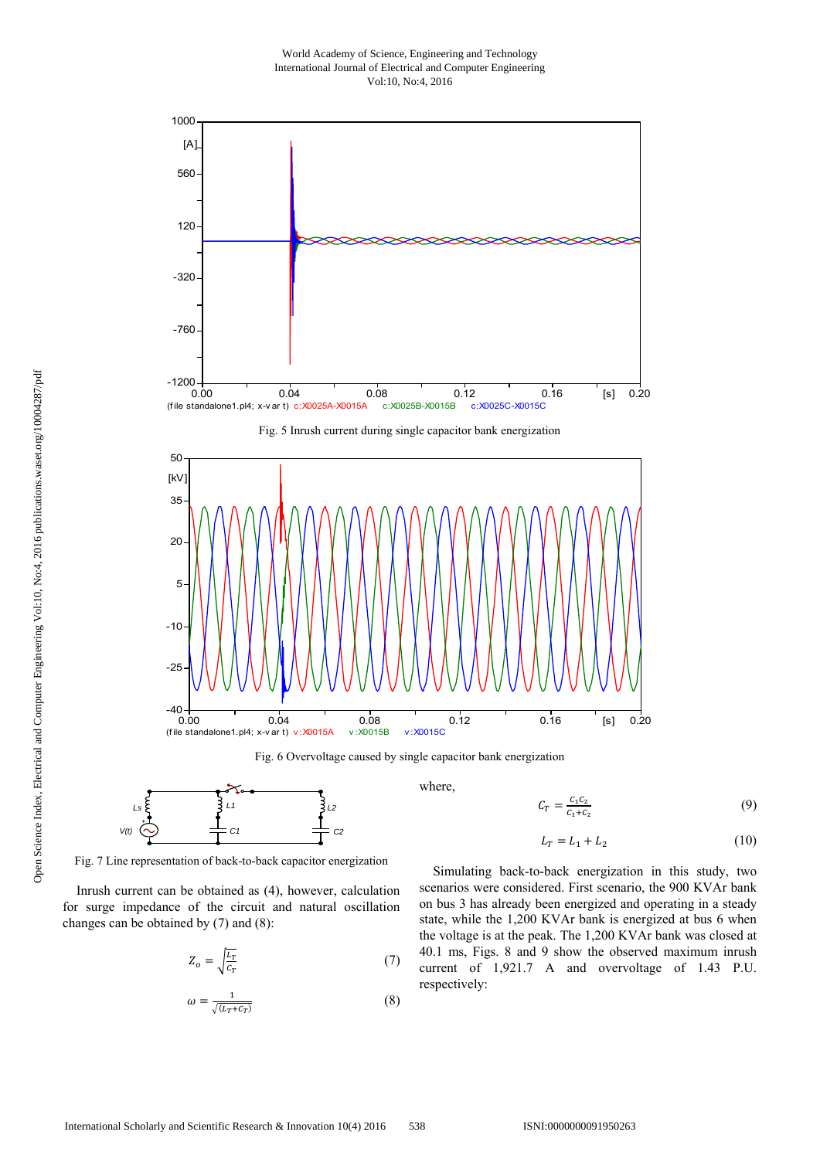#### World Academy of Science, Engineering and Technology International Journal of Electrical and Computer Engineering Vol:10, No:4, 2016







Fig. 6 Overvoltage caused by single capacitor bank energization



Fig. 7 Line representation of back-to-back capacitor energization

Inrush current can be obtained as (4), however, calculation for surge impedance of the circuit and natural oscillation changes can be obtained by (7) and (8):

$$
Z_o = \sqrt{\frac{L_T}{c_T}}\tag{7}
$$

$$
\omega = \frac{1}{\sqrt{(L_T + C_T)}}\tag{8}
$$

where,

$$
C_T = \frac{c_1 c_2}{c_1 + c_2} \tag{9}
$$

$$
L_T = L_1 + L_2 \tag{10}
$$

Simulating back-to-back energization in this study, two scenarios were considered. First scenario, the 900 KVAr bank on bus 3 has already been energized and operating in a steady state, while the 1,200 KVAr bank is energized at bus 6 when the voltage is at the peak. The 1,200 KVAr bank was closed at 40.1 ms, Figs. 8 and 9 show the observed maximum inrush current of 1,921.7 A and overvoltage of 1.43 P.U. respectively: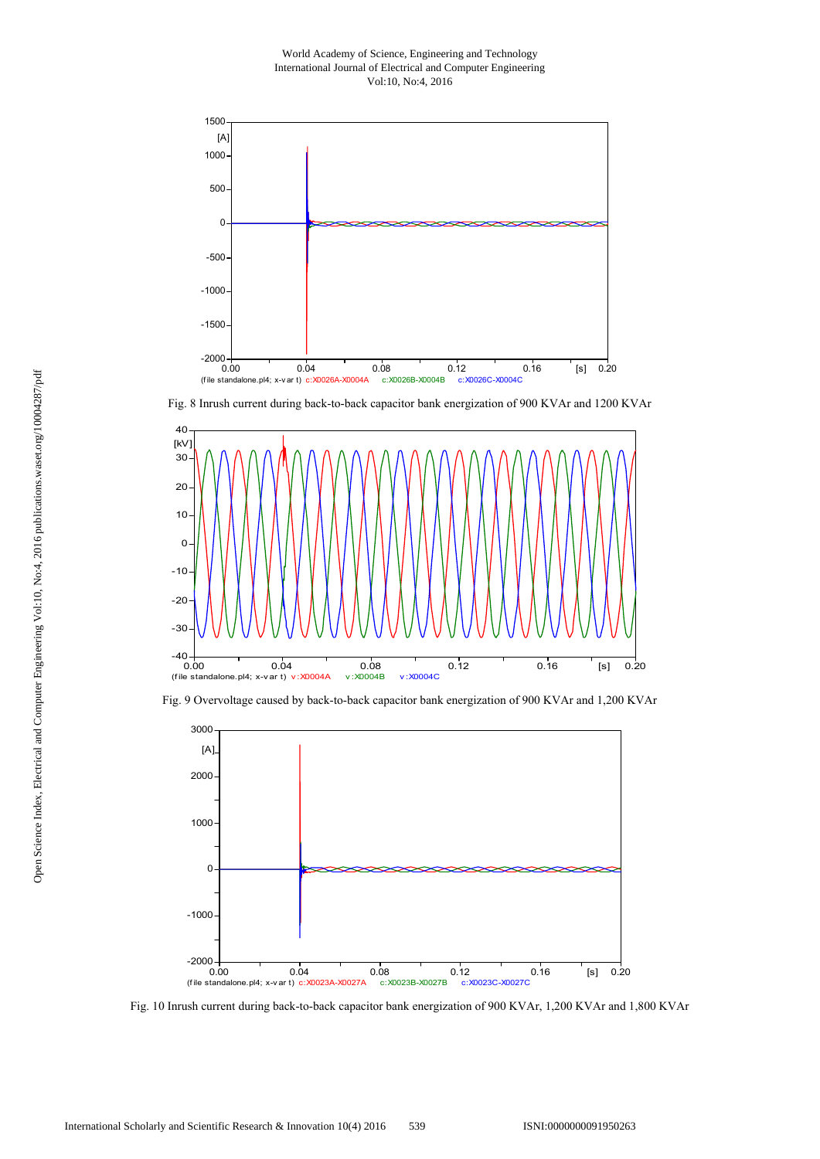World Academy of Science, Engineering and Technology International Journal of Electrical and Computer Engineering Vol:10, No:4, 2016



Fig. 8 Inrush current during back-to-back capacitor bank energization of 900 KVAr and 1200 KVAr



Fig. 9 Overvoltage caused by back-to-back capacitor bank energization of 900 KVAr and 1,200 KVAr



Fig. 10 Inrush current during back-to-back capacitor bank energization of 900 KVAr, 1,200 KVAr and 1,800 KVAr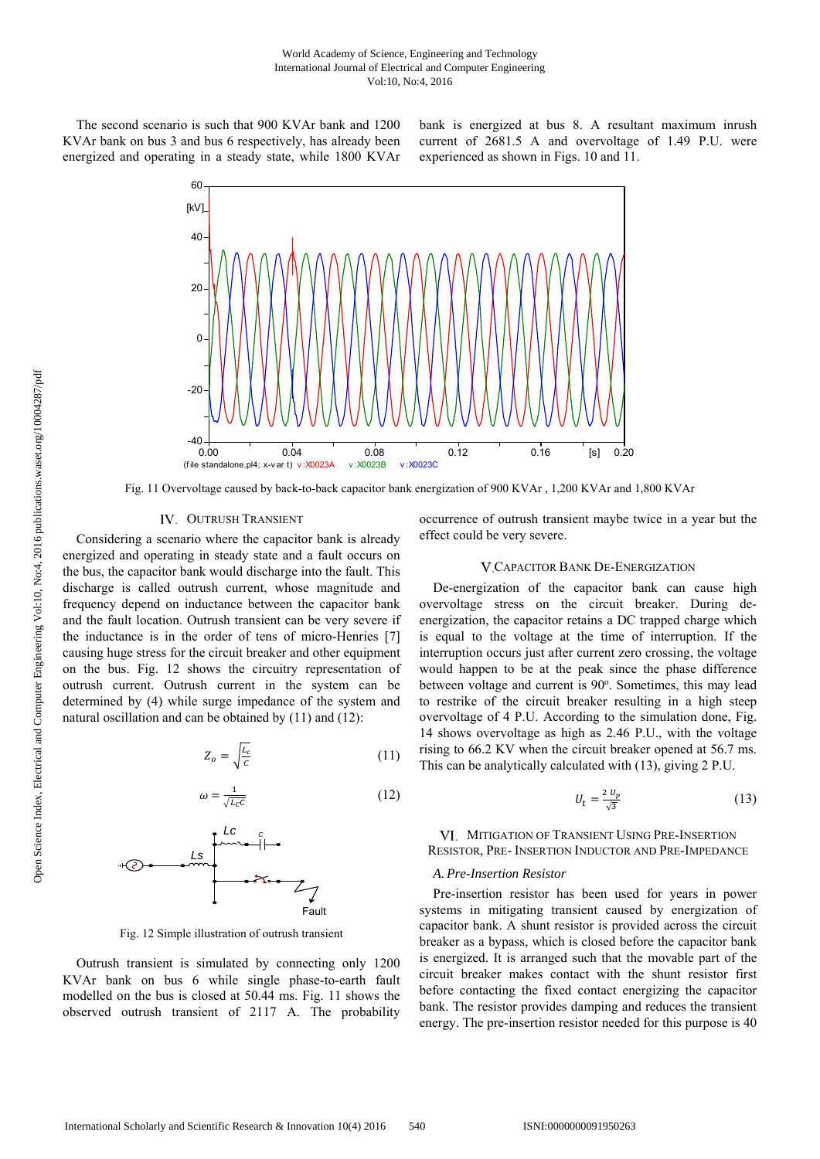The second scenario is such that 900 KVAr bank and 1200 KVAr bank on bus 3 and bus 6 respectively, has already been energized and operating in a steady state, while 1800 KVAr bank is energized at bus 8. A resultant maximum inrush current of 2681.5 A and overvoltage of 1.49 P.U. were experienced as shown in Figs. 10 and 11.



Fig. 11 Overvoltage caused by back-to-back capacitor bank energization of 900 KVAr , 1,200 KVAr and 1,800 KVAr

## IV. OUTRUSH TRANSIENT

Considering a scenario where the capacitor bank is already energized and operating in steady state and a fault occurs on the bus, the capacitor bank would discharge into the fault. This discharge is called outrush current, whose magnitude and frequency depend on inductance between the capacitor bank and the fault location. Outrush transient can be very severe if the inductance is in the order of tens of micro-Henries [7] causing huge stress for the circuit breaker and other equipment on the bus. Fig. 12 shows the circuitry representation of outrush current. Outrush current in the system can be determined by (4) while surge impedance of the system and natural oscillation and can be obtained by (11) and (12):

$$
Z_o = \sqrt{\frac{L_c}{c}}\tag{11}
$$

Fault

$$
\omega = \frac{1}{\sqrt{L_c c}}
$$
(12)

Fig. 12 Simple illustration of outrush transient

Outrush transient is simulated by connecting only 1200 KVAr bank on bus 6 while single phase-to-earth fault modelled on the bus is closed at 50.44 ms. Fig. 11 shows the observed outrush transient of 2117 A. The probability occurrence of outrush transient maybe twice in a year but the effect could be very severe.

#### CAPACITOR BANK DE-ENERGIZATION

De-energization of the capacitor bank can cause high overvoltage stress on the circuit breaker. During deenergization, the capacitor retains a DC trapped charge which is equal to the voltage at the time of interruption. If the interruption occurs just after current zero crossing, the voltage would happen to be at the peak since the phase difference between voltage and current is 90°. Sometimes, this may lead to restrike of the circuit breaker resulting in a high steep overvoltage of 4 P.U. According to the simulation done, Fig. 14 shows overvoltage as high as 2.46 P.U., with the voltage rising to 66.2 KV when the circuit breaker opened at 56.7 ms. This can be analytically calculated with (13), giving 2 P.U.

$$
U_t = \frac{2 U_p}{\sqrt{3}}\tag{13}
$$

VI. MITIGATION OF TRANSIENT USING PRE-INSERTION RESISTOR, PRE- INSERTION INDUCTOR AND PRE-IMPEDANCE

## *A. Pre-Insertion Resistor*

Pre-insertion resistor has been used for years in power systems in mitigating transient caused by energization of capacitor bank. A shunt resistor is provided across the circuit breaker as a bypass, which is closed before the capacitor bank is energized. It is arranged such that the movable part of the circuit breaker makes contact with the shunt resistor first before contacting the fixed contact energizing the capacitor bank. The resistor provides damping and reduces the transient energy. The pre-insertion resistor needed for this purpose is 40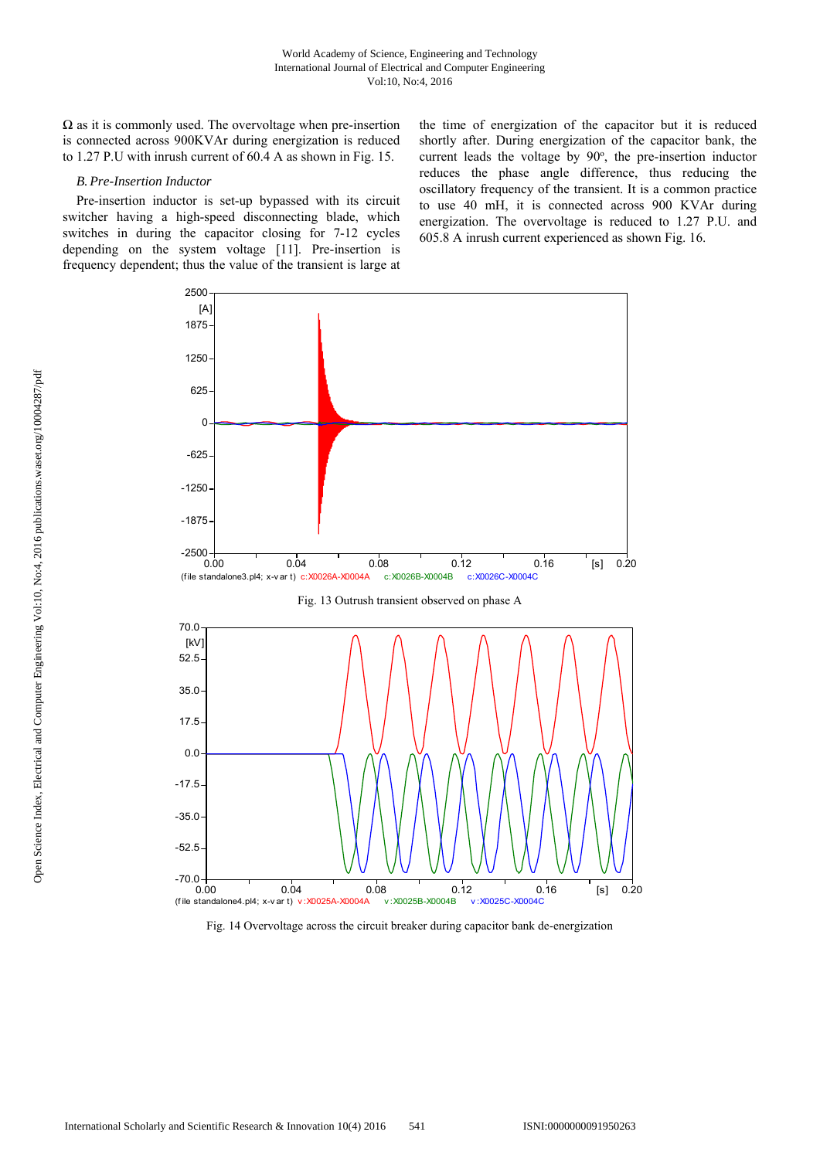$\Omega$  as it is commonly used. The overvoltage when pre-insertion is connected across 900KVAr during energization is reduced to 1.27 P.U with inrush current of 60.4 A as shown in Fig. 15.

#### *B. Pre-Insertion Inductor*

Pre-insertion inductor is set-up bypassed with its circuit switcher having a high-speed disconnecting blade, which switches in during the capacitor closing for 7-12 cycles depending on the system voltage [11]. Pre-insertion is frequency dependent; thus the value of the transient is large at the time of energization of the capacitor but it is reduced shortly after. During energization of the capacitor bank, the current leads the voltage by 90°, the pre-insertion inductor reduces the phase angle difference, thus reducing the oscillatory frequency of the transient. It is a common practice to use 40 mH, it is connected across 900 KVAr during energization. The overvoltage is reduced to 1.27 P.U. and 605.8 A inrush current experienced as shown Fig. 16.



Fig. 14 Overvoltage across the circuit breaker during capacitor bank de-energization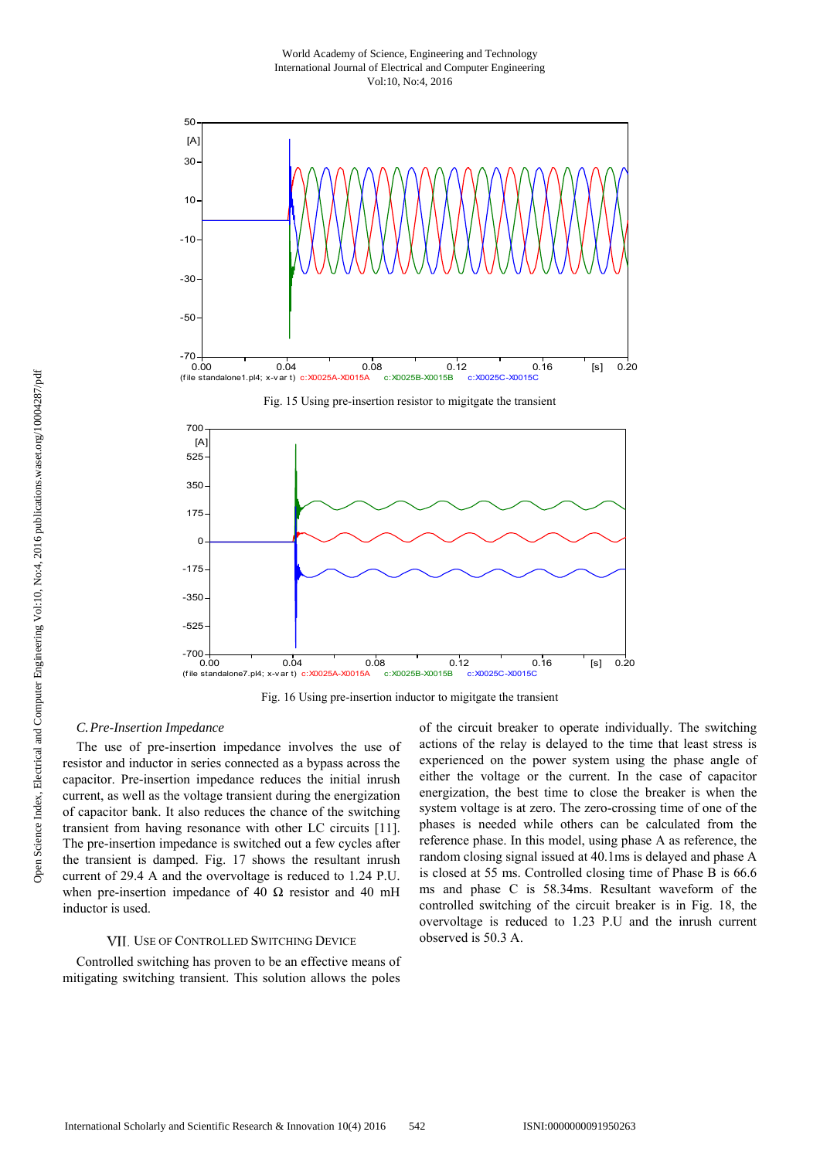World Academy of Science, Engineering and Technology International Journal of Electrical and Computer Engineering Vol:10, No:4, 2016







Fig. 16 Using pre-insertion inductor to migitgate the transient

## *C.Pre-Insertion Impedance*

The use of pre-insertion impedance involves the use of resistor and inductor in series connected as a bypass across the capacitor. Pre-insertion impedance reduces the initial inrush current, as well as the voltage transient during the energization of capacitor bank. It also reduces the chance of the switching transient from having resonance with other LC circuits [11]. The pre-insertion impedance is switched out a few cycles after the transient is damped. Fig. 17 shows the resultant inrush current of 29.4 A and the overvoltage is reduced to 1.24 P.U. when pre-insertion impedance of 40  $\Omega$  resistor and 40 mH inductor is used.

#### VII. USE OF CONTROLLED SWITCHING DEVICE

Controlled switching has proven to be an effective means of mitigating switching transient. This solution allows the poles of the circuit breaker to operate individually. The switching actions of the relay is delayed to the time that least stress is experienced on the power system using the phase angle of either the voltage or the current. In the case of capacitor energization, the best time to close the breaker is when the system voltage is at zero. The zero-crossing time of one of the phases is needed while others can be calculated from the reference phase. In this model, using phase A as reference, the random closing signal issued at 40.1ms is delayed and phase A is closed at 55 ms. Controlled closing time of Phase B is 66.6 ms and phase C is 58.34ms. Resultant waveform of the controlled switching of the circuit breaker is in Fig. 18, the overvoltage is reduced to 1.23 P.U and the inrush current observed is 50.3 A.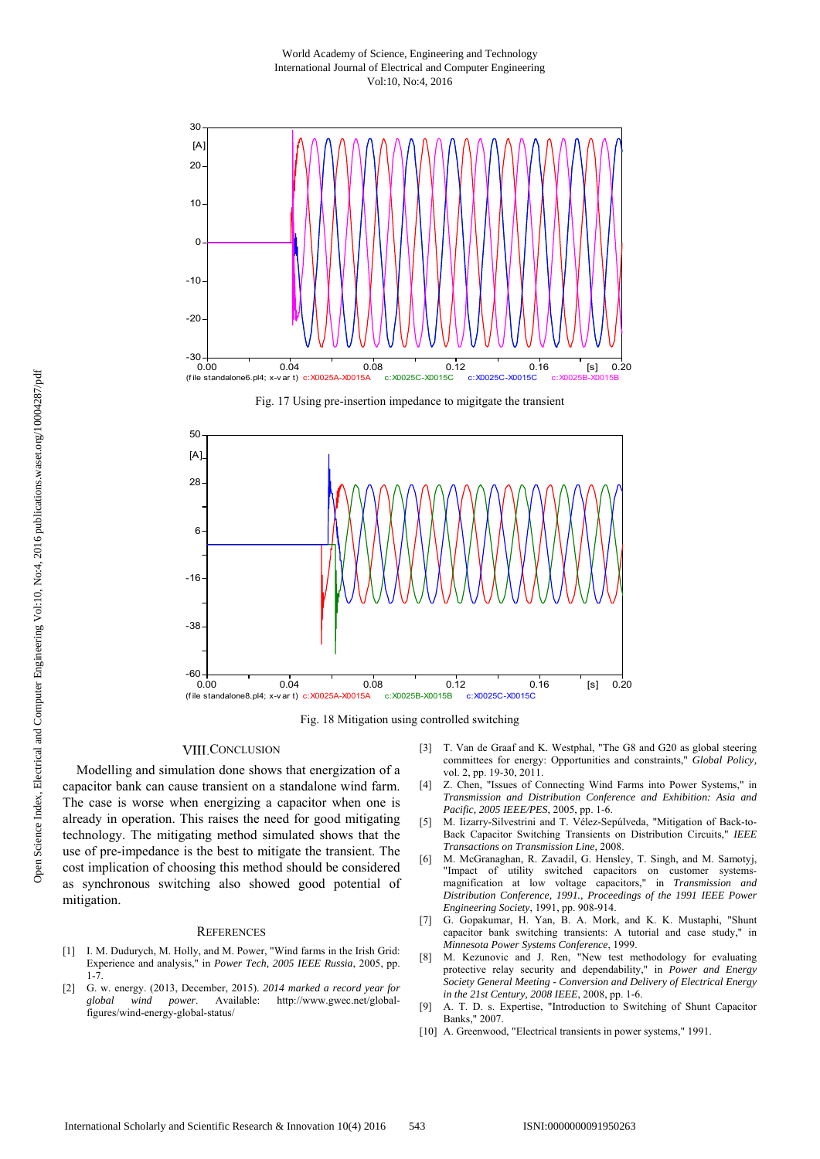World Academy of Science, Engineering and Technology International Journal of Electrical and Computer Engineering Vol:10, No:4, 2016







Fig. 18 Mitigation using controlled switching

## **VIII.CONCLUSION**

Modelling and simulation done shows that energization of a capacitor bank can cause transient on a standalone wind farm. The case is worse when energizing a capacitor when one is already in operation. This raises the need for good mitigating technology. The mitigating method simulated shows that the use of pre-impedance is the best to mitigate the transient. The cost implication of choosing this method should be considered as synchronous switching also showed good potential of mitigation.

#### **REFERENCES**

- [1] I. M. Dudurych, M. Holly, and M. Power, "Wind farms in the Irish Grid: Experience and analysis," in *Power Tech, 2005 IEEE Russia*, 2005, pp. 1-7.
- [2] G. w. energy. (2013, December, 2015). *2014 marked a record year for global wind power*. Available: http://www.gwec.net/globalfigures/wind-energy-global-status/
- [3] T. Van de Graaf and K. Westphal, "The G8 and G20 as global steering committees for energy: Opportunities and constraints," *Global Policy,*  vol. 2, pp. 19-30, 2011.
- [4] Z. Chen, "Issues of Connecting Wind Farms into Power Systems," in *Transmission and Distribution Conference and Exhibition: Asia and Pacific, 2005 IEEE/PES*, 2005, pp. 1-6.
- [5] M. Iizarry-Silvestrini and T. Vélez-Sepúlveda, "Mitigation of Back-to-Back Capacitor Switching Transients on Distribution Circuits," *IEEE Transactions on Transmission Line,* 2008.
- [6] M. McGranaghan, R. Zavadil, G. Hensley, T. Singh, and M. Samotyj, "Impact of utility switched capacitors on customer systemsmagnification at low voltage capacitors," in *Transmission and Distribution Conference, 1991., Proceedings of the 1991 IEEE Power Engineering Society*, 1991, pp. 908-914.
- [7] G. Gopakumar, H. Yan, B. A. Mork, and K. K. Mustaphi, "Shunt capacitor bank switching transients: A tutorial and case study," in *Minnesota Power Systems Conference*, 1999.
- [8] M. Kezunovic and J. Ren, "New test methodology for evaluating protective relay security and dependability," in *Power and Energy Society General Meeting - Conversion and Delivery of Electrical Energy in the 21st Century, 2008 IEEE*, 2008, pp. 1-6.
- [9] A. T. D. s. Expertise, "Introduction to Switching of Shunt Capacitor Banks," 2007.
- [10] A. Greenwood, "Electrical transients in power systems," 1991.